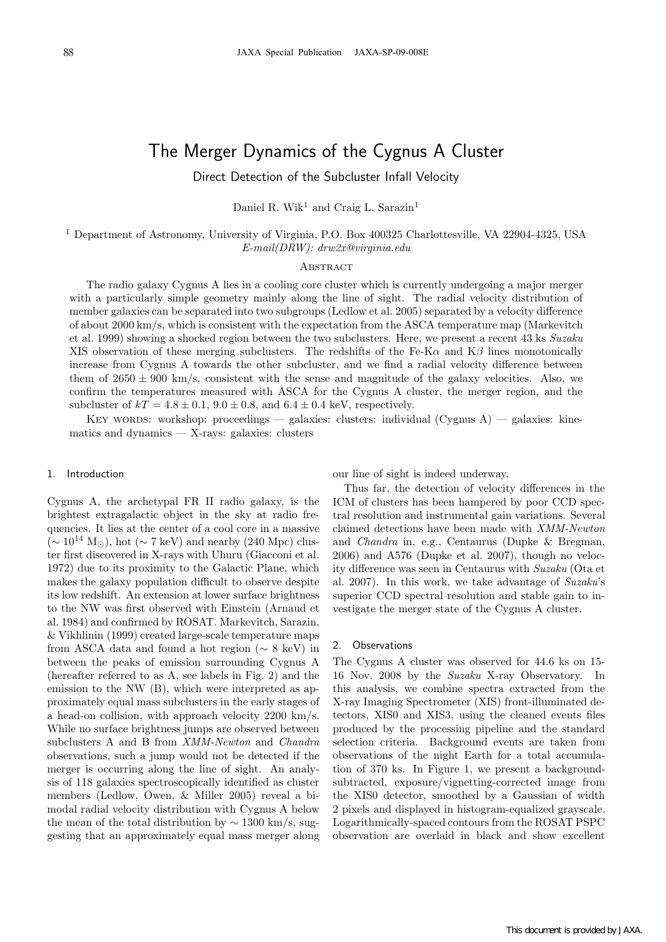# The Merger Dynamics of the Cygnus A Cluster

Direct Detection of the Subcluster Infall Velocity

Daniel R. Wik<sup>1</sup> and Craig L. Sarazin<sup>1</sup>

<sup>1</sup> Department of Astronomy, University of Virginia, P.O. Box 400325 Charlottesville, VA 22904-4325, USA E-mail(DRW): drw2x@virginia.edu

#### **ABSTRACT**

The radio galaxy Cygnus A lies in a cooling core cluster which is currently undergoing a major merger with a particularly simple geometry mainly along the line of sight. The radial velocity distribution of member galaxies can be separated into two subgroups (Ledlow et al. 2005) separated by a velocity difference of about 2000 km/s, which is consistent with the expectation from the ASCA temperature map (Markevitch et al. 1999) showing a shocked region between the two subclusters. Here, we present a recent 43 ks Suzaku XIS observation of these merging subclusters. The redshifts of the Fe-K $\alpha$  and K $\beta$  lines monotonically increase from Cygnus A towards the other subcluster, and we find a radial velocity difference between them of  $2650 \pm 900$  km/s, consistent with the sense and magnitude of the galaxy velocities. Also, we confirm the temperatures measured with ASCA for the Cygnus A cluster, the merger region, and the subcluster of  $kT = 4.8 \pm 0.1$ ,  $9.0 \pm 0.8$ , and  $6.4 \pm 0.4$  keV, respectively.

Key words: workshop: proceedings — galaxies: clusters: individual (Cygnus A) — galaxies: kinematics and dynamics — X-rays: galaxies: clusters

## 1. Introduction

Cygnus A, the archetypal FR II radio galaxy, is the brightest extragalactic object in the sky at radio frequencies. It lies at the center of a cool core in a massive  $({\sim 10^{14} M_{\odot}})$ , hot  $({\sim 7 \text{ keV}})$  and nearby (240 Mpc) cluster first discovered in X-rays with Uhuru (Giacconi et al. 1972) due to its proximity to the Galactic Plane, which makes the galaxy population difficult to observe despite its low redshift. An extension at lower surface brightness to the NW was first observed with Einstein (Arnaud et al. 1984) and confirmed by ROSAT. Markevitch, Sarazin, & Vikhlinin (1999) created large-scale temperature maps from ASCA data and found a hot region (∼ 8 keV) in between the peaks of emission surrounding Cygnus A (hereafter referred to as A, see labels in Fig. 2) and the emission to the NW (B), which were interpreted as approximately equal mass subclusters in the early stages of a head-on collision, with approach velocity 2200 km/s. While no surface brightness jumps are observed between subclusters A and B from XMM-Newton and Chandra observations, such a jump would not be detected if the merger is occurring along the line of sight. An analysis of 118 galaxies spectroscopically identified as cluster members (Ledlow, Owen, & Miller 2005) reveal a bimodal radial velocity distribution with Cygnus A below the mean of the total distribution by  $\sim 1300 \text{ km/s}$ , suggesting that an approximately equal mass merger along our line of sight is indeed underway.

Thus far, the detection of velocity differences in the ICM of clusters has been hampered by poor CCD spectral resolution and instrumental gain variations. Several claimed detections have been made with XMM-Newton and Chandra in, e.g., Centaurus (Dupke & Bregman, 2006) and A576 (Dupke et al. 2007), though no velocity difference was seen in Centaurus with Suzaku (Ota et al. 2007). In this work, we take advantage of Suzaku's superior CCD spectral resolution and stable gain to investigate the merger state of the Cygnus A cluster.

#### 2. Observations

The Cygnus A cluster was observed for 44.6 ks on 15- 16 Nov. 2008 by the Suzaku X-ray Observatory. In this analysis, we combine spectra extracted from the X-ray Imaging Spectrometer (XIS) front-illuminated detectors, XIS0 and XIS3, using the cleaned events files produced by the processing pipeline and the standard selection criteria. Background events are taken from observations of the night Earth for a total accumulation of 370 ks. In Figure 1, we present a backgroundsubtracted, exposure/vignetting-corrected image from the XIS0 detector, smoothed by a Gaussian of width 2 pixels and displayed in histogram-equalized grayscale. Logarithmically-spaced contours from the ROSAT PSPC observation are overlaid in black and show excellent